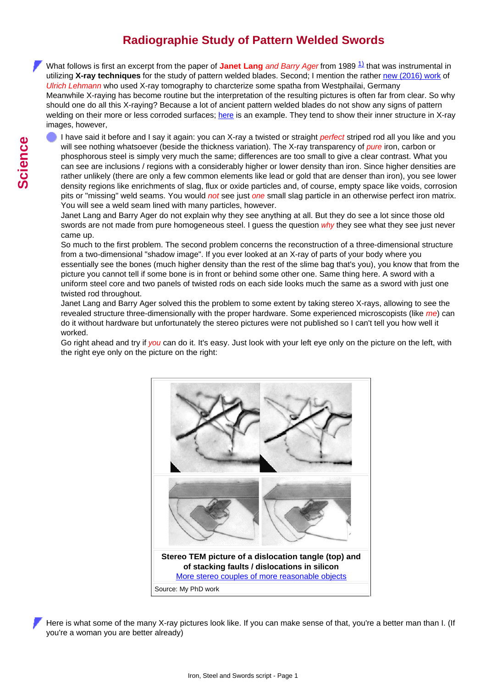## **Radiographie Study of Pattern Welded Swords**

<span id="page-0-0"></span>What follows is first an excerpt from the paper of **Janet Lang** *and Barry Ager* from 1989 <sup>[1\)](#page-2-0)</sup> that was instrumental in utilizing **X-ray techniques** for the study of pattern welded blades. Second; I mention the rather [new \(2016\) work](#page-0-0) of *Ulrich Lehmann* who used X-ray tomography to charcterize some spatha from Westphailai, Germany Meanwhile X-raying has become routine but the interpretation of the resulting pictures is often far from clear. So why should one do all this X-raying? Because a lot of ancient pattern welded blades do not show any signs of pattern welding on their more or less corroded surfaces; [here](http://www.tf.uni-kiel.de/matwis/amat/iss/kap_b/illustr/ib_3_6.html#_13) is an example. They tend to show their inner structure in X-ray images, however,

I have said it before and I say it again: you can X-ray a twisted or straight *perfect* striped rod all you like and you will see nothing whatsoever (beside the thickness variation). The X-ray transparency of *pure* iron, carbon or phosphorous steel is simply very much the same; differences are too small to give a clear contrast. What you can see are inclusions / regions with a considerably higher or lower density than iron. Since higher densities are rather unlikely (there are only a few common elements like lead or gold that are denser than iron), you see lower density regions like enrichments of slag, flux or oxide particles and, of course, empty space like voids, corrosion pits or "missing" weld seams. You would *not* see just *one* small slag particle in an otherwise perfect iron matrix. You will see a weld seam lined with many particles, however.

Janet Lang and Barry Ager do not explain why they see anything at all. But they do see a lot since those old swords are not made from pure homogeneous steel. I guess the question *why* they see what they see just never came up.

So much to the first problem. The second problem concerns the reconstruction of a three-dimensional structure from a two-dimensional "shadow image". If you ever looked at an X-ray of parts of your body where you essentially see the bones (much higher density than the rest of the slime bag that's you), you know that from the picture you cannot tell if some bone is in front or behind some other one. Same thing here. A sword with a uniform steel core and two panels of twisted rods on each side looks much the same as a sword with just one twisted rod throughout.

Janet Lang and Barry Ager solved this the problem to some extent by taking stereo X-rays, allowing to see the revealed structure three-dimensionally with the proper hardware. Some experienced microscopists (like *me*) can do it without hardware but unfortunately the stereo pictures were not published so I can't tell you how well it worked.

Go right ahead and try if *you* can do it. It's easy. Just look with your left eye only on the picture on the left, with the right eye only on the picture on the right:



Here is what some of the many X-ray pictures look like. If you can make sense of that, you're a better man than I. (If you're a woman you are better already)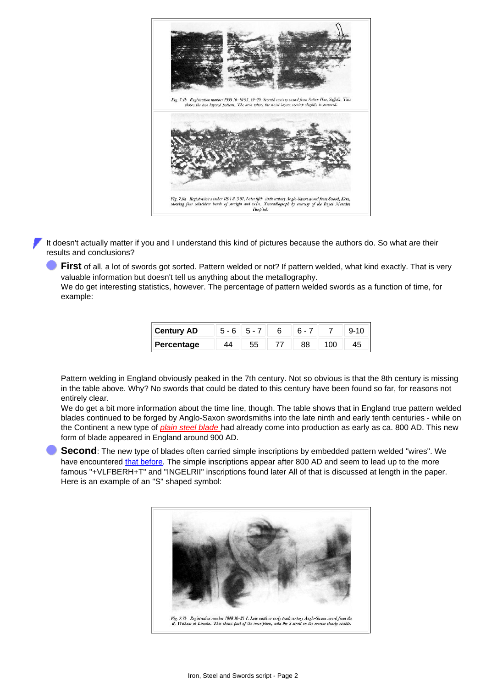

It doesn't actually matter if you and I understand this kind of pictures because the authors do. So what are their results and conclusions?

**First** of all, a lot of swords got sorted. Pattern welded or not? If pattern welded, what kind exactly. That is very valuable information but doesn't tell us anything about the metallography.

We do get interesting statistics, however. The percentage of pattern welded swords as a function of time, for example:

| <b>I</b> Century AD |  |  |  |
|---------------------|--|--|--|
| Percentage          |  |  |  |

Pattern welding in England obviously peaked in the 7th century. Not so obvious is that the 8th century is missing in the table above. Why? No swords that could be dated to this century have been found so far, for reasons not entirely clear.

We do get a bit more information about the time line, though. The table shows that in England true pattern welded blades continued to be forged by Anglo-Saxon swordsmiths into the late ninth and early tenth centuries - while on the Continent a new type of *[plain steel blade](http://www.tf.uni-kiel.de/matwis/amat/iss/kap_b/backbone/rb_4_1.html)* had already come into production as early as ca. 800 AD. This new form of blade appeared in England around 900 AD.

**Second**: The new type of blades often carried simple inscriptions by embedded pattern welded "wires". We have encountered [that before](http://www.tf.uni-kiel.de/matwis/amat/iss/kap_b/illustr/sb_3_3a.html#inscription; pattern welded sword). The simple inscriptions appear after 800 AD and seem to lead up to the more famous "+VLFBERH+T" and "INGELRII" inscriptions found later All of that is discussed at length in the paper. Here is an example of an "S" shaped symbol: